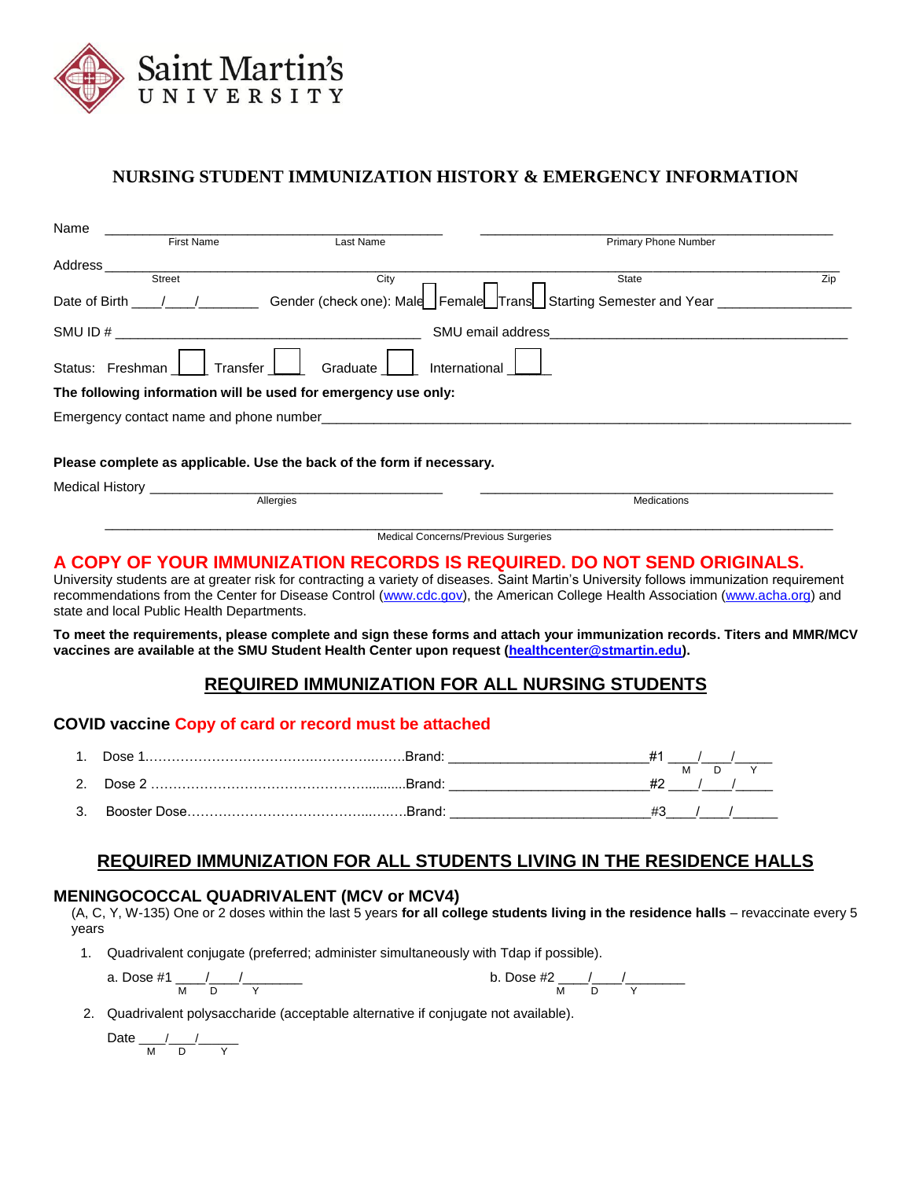

# **NURSING STUDENT IMMUNIZATION HISTORY & EMERGENCY INFORMATION**

| Name                   |                   |                                                                       |                                                                       |     |
|------------------------|-------------------|-----------------------------------------------------------------------|-----------------------------------------------------------------------|-----|
|                        | <b>First Name</b> | Last Name                                                             | <b>Primary Phone Number</b>                                           |     |
| Address                |                   |                                                                       |                                                                       |     |
|                        | <b>Street</b>     | City                                                                  | State                                                                 | Zip |
| Date of Birth          |                   |                                                                       | Gender (check one): Male Female Trans Starting Semester and Year ____ |     |
|                        |                   |                                                                       | SMU email address                                                     |     |
| Status: Freshman       | Transfer          | Graduate<br>International                                             |                                                                       |     |
|                        |                   | The following information will be used for emergency use only:        |                                                                       |     |
|                        |                   |                                                                       |                                                                       |     |
|                        |                   |                                                                       |                                                                       |     |
|                        |                   | Please complete as applicable. Use the back of the form if necessary. |                                                                       |     |
| <b>Medical History</b> |                   |                                                                       |                                                                       |     |
|                        |                   | Allergies                                                             | <b>Medications</b>                                                    |     |

### **A COPY OF YOUR IMMUNIZATION RECORDS IS REQUIRED. DO NOT SEND ORIGINALS.**

University students are at greater risk for contracting a variety of diseases. Saint Martin's University follows immunization requirement recommendations from the Center for Disease Control [\(www.cdc.gov\)](http://www.cdc.gov/), the American College Health Association [\(www.acha.org\)](http://www.acha.org/) and state and local Public Health Departments.

 $\overline{a_1}$  ,  $\overline{a_2}$  ,  $\overline{a_3}$  ,  $\overline{a_4}$  ,  $\overline{a_5}$  ,  $\overline{a_6}$  ,  $\overline{a_7}$  ,  $\overline{a_8}$  ,  $\overline{a_9}$  ,  $\overline{a_9}$  ,  $\overline{a_9}$  ,  $\overline{a_9}$  ,  $\overline{a_9}$  ,  $\overline{a_9}$  ,  $\overline{a_9}$  ,  $\overline{a_9}$  ,  $\overline{a_9}$  , Medical Concerns/Previous Surgeries

**To meet the requirements, please complete and sign these forms and attach your immunization records. Titers and MMR/MCV vaccines are available at the SMU Student Health Center upon request [\(healthcenter@stmartin.edu\)](mailto:healthcenter@stmartin.edu).**

## **REQUIRED IMMUNIZATION FOR ALL NURSING STUDENTS**

#### **COVID vaccine Copy of card or record must be attached**

| 1. |  |  |  |
|----|--|--|--|
|    |  |  |  |
|    |  |  |  |

#### **REQUIRED IMMUNIZATION FOR ALL STUDENTS LIVING IN THE RESIDENCE HALLS**

#### **MENINGOCOCCAL QUADRIVALENT (MCV or MCV4)**

(A, C, Y, W-135) One or 2 doses within the last 5 years **for all college students living in the residence halls** – revaccinate every 5 years

1. Quadrivalent conjugate (preferred; administer simultaneously with Tdap if possible).

a. Does #1 
$$
\frac{1}{M} \frac{1}{D} \frac{1}{Y}
$$
 b. Does #2  $\frac{1}{M} \frac{1}{D} \frac{1}{Y}$ 

2. Quadrivalent polysaccharide (acceptable alternative if conjugate not available).

Date \_\_\_\_/\_\_\_\_/\_\_\_\_\_\_ M D Y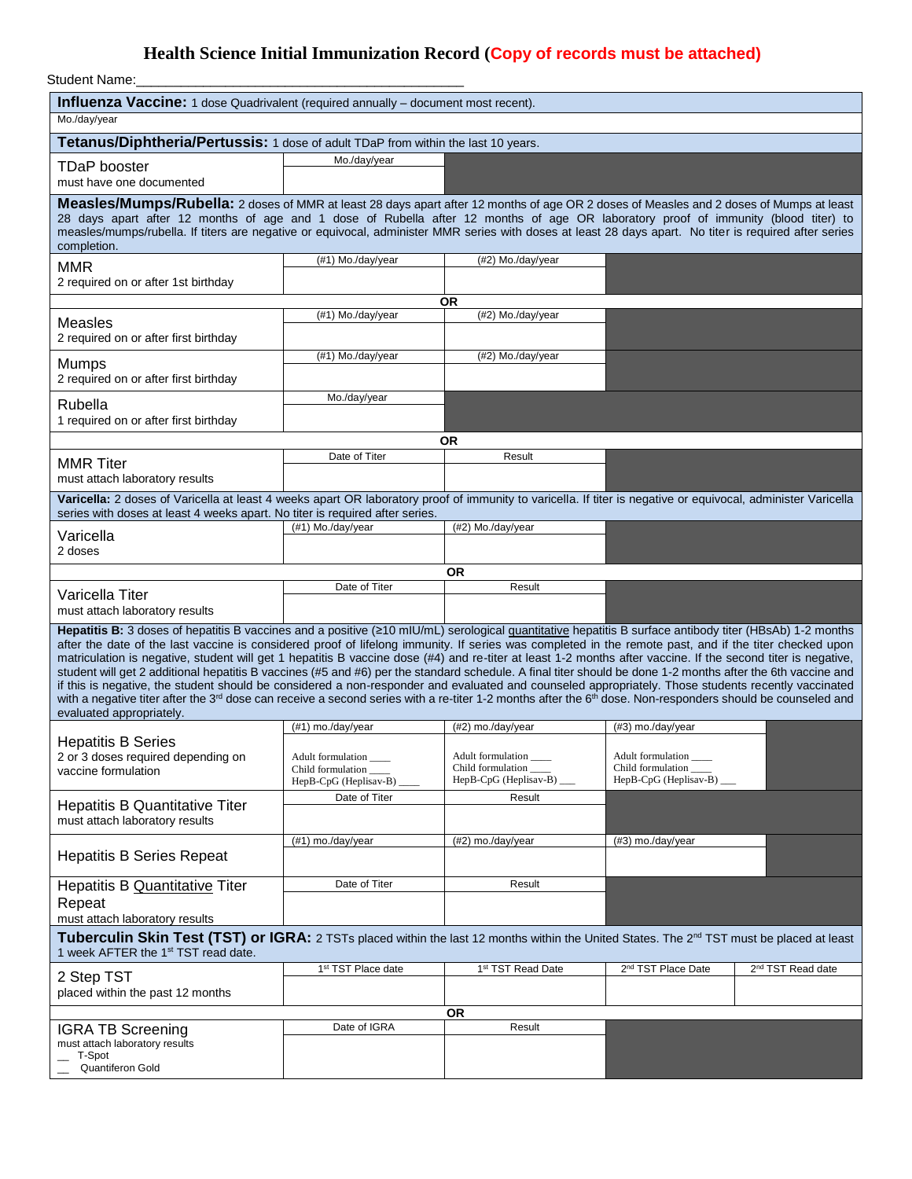# **Health Science Initial Immunization Record (Copy of records must be attached)**

Student Name:

| Influenza Vaccine: 1 dose Quadrivalent (required annually - document most recent).                                                                                                                                                                                                                                                                                                                                                                                                                                                                                                                                                                                                                                                                                                                                                                                                                                                                                                                                        |                                                                 |                                                                    |                                                                 |                               |  |
|---------------------------------------------------------------------------------------------------------------------------------------------------------------------------------------------------------------------------------------------------------------------------------------------------------------------------------------------------------------------------------------------------------------------------------------------------------------------------------------------------------------------------------------------------------------------------------------------------------------------------------------------------------------------------------------------------------------------------------------------------------------------------------------------------------------------------------------------------------------------------------------------------------------------------------------------------------------------------------------------------------------------------|-----------------------------------------------------------------|--------------------------------------------------------------------|-----------------------------------------------------------------|-------------------------------|--|
| Mo./day/year                                                                                                                                                                                                                                                                                                                                                                                                                                                                                                                                                                                                                                                                                                                                                                                                                                                                                                                                                                                                              |                                                                 |                                                                    |                                                                 |                               |  |
| Tetanus/Diphtheria/Pertussis: 1 dose of adult TDaP from within the last 10 years.                                                                                                                                                                                                                                                                                                                                                                                                                                                                                                                                                                                                                                                                                                                                                                                                                                                                                                                                         |                                                                 |                                                                    |                                                                 |                               |  |
| <b>TDaP</b> booster<br>must have one documented                                                                                                                                                                                                                                                                                                                                                                                                                                                                                                                                                                                                                                                                                                                                                                                                                                                                                                                                                                           | Mo./day/year                                                    |                                                                    |                                                                 |                               |  |
| Measles/Mumps/Rubella: 2 doses of MMR at least 28 days apart after 12 months of age OR 2 doses of Measles and 2 doses of Mumps at least<br>28 days apart after 12 months of age and 1 dose of Rubella after 12 months of age OR laboratory proof of immunity (blood titer) to<br>measles/mumps/rubella. If titers are negative or equivocal, administer MMR series with doses at least 28 days apart. No titer is required after series<br>completion.                                                                                                                                                                                                                                                                                                                                                                                                                                                                                                                                                                    |                                                                 |                                                                    |                                                                 |                               |  |
| <b>MMR</b><br>2 required on or after 1st birthday                                                                                                                                                                                                                                                                                                                                                                                                                                                                                                                                                                                                                                                                                                                                                                                                                                                                                                                                                                         | (#1) Mo./day/year                                               | (#2) Mo./day/year                                                  |                                                                 |                               |  |
|                                                                                                                                                                                                                                                                                                                                                                                                                                                                                                                                                                                                                                                                                                                                                                                                                                                                                                                                                                                                                           |                                                                 | 0R                                                                 |                                                                 |                               |  |
| <b>Measles</b><br>2 required on or after first birthday                                                                                                                                                                                                                                                                                                                                                                                                                                                                                                                                                                                                                                                                                                                                                                                                                                                                                                                                                                   | (#1) Mo./day/year                                               | (#2) Mo./day/year                                                  |                                                                 |                               |  |
| <b>Mumps</b><br>2 required on or after first birthday                                                                                                                                                                                                                                                                                                                                                                                                                                                                                                                                                                                                                                                                                                                                                                                                                                                                                                                                                                     | (#1) Mo./day/year                                               | (#2) Mo./day/year                                                  |                                                                 |                               |  |
| Rubella<br>1 required on or after first birthday                                                                                                                                                                                                                                                                                                                                                                                                                                                                                                                                                                                                                                                                                                                                                                                                                                                                                                                                                                          | Mo./day/year                                                    |                                                                    |                                                                 |                               |  |
|                                                                                                                                                                                                                                                                                                                                                                                                                                                                                                                                                                                                                                                                                                                                                                                                                                                                                                                                                                                                                           |                                                                 | 0R                                                                 |                                                                 |                               |  |
| <b>MMR Titer</b><br>must attach laboratory results                                                                                                                                                                                                                                                                                                                                                                                                                                                                                                                                                                                                                                                                                                                                                                                                                                                                                                                                                                        | Date of Titer                                                   | Result                                                             |                                                                 |                               |  |
| Varicella: 2 doses of Varicella at least 4 weeks apart OR laboratory proof of immunity to varicella. If titer is negative or equivocal, administer Varicella<br>series with doses at least 4 weeks apart. No titer is required after series.                                                                                                                                                                                                                                                                                                                                                                                                                                                                                                                                                                                                                                                                                                                                                                              |                                                                 |                                                                    |                                                                 |                               |  |
| Varicella<br>2 doses                                                                                                                                                                                                                                                                                                                                                                                                                                                                                                                                                                                                                                                                                                                                                                                                                                                                                                                                                                                                      | (#1) Mo./day/year                                               | (#2) Mo./day/year                                                  |                                                                 |                               |  |
|                                                                                                                                                                                                                                                                                                                                                                                                                                                                                                                                                                                                                                                                                                                                                                                                                                                                                                                                                                                                                           |                                                                 | <b>OR</b>                                                          |                                                                 |                               |  |
| Varicella Titer                                                                                                                                                                                                                                                                                                                                                                                                                                                                                                                                                                                                                                                                                                                                                                                                                                                                                                                                                                                                           | Date of Titer<br>Result                                         |                                                                    |                                                                 |                               |  |
| must attach laboratory results                                                                                                                                                                                                                                                                                                                                                                                                                                                                                                                                                                                                                                                                                                                                                                                                                                                                                                                                                                                            |                                                                 |                                                                    |                                                                 |                               |  |
| Hepatitis B: 3 doses of hepatitis B vaccines and a positive (≥10 mlU/mL) serological quantitative hepatitis B surface antibody titer (HBsAb) 1-2 months<br>after the date of the last vaccine is considered proof of lifelong immunity. If series was completed in the remote past, and if the titer checked upon<br>matriculation is negative, student will get 1 hepatitis B vaccine dose (#4) and re-titer at least 1-2 months after vaccine. If the second titer is negative,<br>student will get 2 additional hepatitis B vaccines (#5 and #6) per the standard schedule. A final titer should be done 1-2 months after the 6th vaccine and<br>if this is negative, the student should be considered a non-responder and evaluated and counseled appropriately. Those students recently vaccinated<br>with a negative titer after the 3 <sup>rd</sup> dose can receive a second series with a re-titer 1-2 months after the 6 <sup>th</sup> dose. Non-responders should be counseled and<br>evaluated appropriately. |                                                                 |                                                                    |                                                                 |                               |  |
| <b>Hepatitis B Series</b>                                                                                                                                                                                                                                                                                                                                                                                                                                                                                                                                                                                                                                                                                                                                                                                                                                                                                                                                                                                                 | (#1) mo./day/year                                               | (#2) mo./day/year                                                  | (#3) mo./day/year                                               |                               |  |
| 2 or 3 doses required depending on<br>vaccine formulation                                                                                                                                                                                                                                                                                                                                                                                                                                                                                                                                                                                                                                                                                                                                                                                                                                                                                                                                                                 | Adult formulation<br>Child formulation<br>HepB-CpG (Heplisav-B) | Adult formulation<br>Child formulation<br>HepB-CpG (Heplisav-B) __ | Adult formulation<br>Child formulation<br>HepB-CpG (Heplisav-B) |                               |  |
| <b>Hepatitis B Quantitative Titer</b><br>must attach laboratory results                                                                                                                                                                                                                                                                                                                                                                                                                                                                                                                                                                                                                                                                                                                                                                                                                                                                                                                                                   | Date of Titer                                                   | Result                                                             |                                                                 |                               |  |
| <b>Hepatitis B Series Repeat</b>                                                                                                                                                                                                                                                                                                                                                                                                                                                                                                                                                                                                                                                                                                                                                                                                                                                                                                                                                                                          | (#1) mo./day/year                                               | (#2) mo./day/year                                                  | (#3) mo./day/year                                               |                               |  |
| <b>Hepatitis B Quantitative Titer</b><br>Repeat                                                                                                                                                                                                                                                                                                                                                                                                                                                                                                                                                                                                                                                                                                                                                                                                                                                                                                                                                                           | Date of Titer                                                   | Result                                                             |                                                                 |                               |  |
| must attach laboratory results<br>Tuberculin Skin Test (TST) or IGRA: 2 TSTs placed within the last 12 months within the United States. The 2 <sup>nd</sup> TST must be placed at least<br>1 week AFTER the 1 <sup>st</sup> TST read date.                                                                                                                                                                                                                                                                                                                                                                                                                                                                                                                                                                                                                                                                                                                                                                                |                                                                 |                                                                    |                                                                 |                               |  |
| 2 Step TST<br>placed within the past 12 months                                                                                                                                                                                                                                                                                                                                                                                                                                                                                                                                                                                                                                                                                                                                                                                                                                                                                                                                                                            | 1 <sup>st</sup> TST Place date                                  | 1 <sup>st</sup> TST Read Date                                      | 2 <sup>nd</sup> TST Place Date                                  | 2 <sup>nd</sup> TST Read date |  |
|                                                                                                                                                                                                                                                                                                                                                                                                                                                                                                                                                                                                                                                                                                                                                                                                                                                                                                                                                                                                                           | OR                                                              |                                                                    |                                                                 |                               |  |
| <b>IGRA TB Screening</b><br>must attach laboratory results<br>T-Spot<br>Quantiferon Gold                                                                                                                                                                                                                                                                                                                                                                                                                                                                                                                                                                                                                                                                                                                                                                                                                                                                                                                                  | Date of IGRA                                                    | Result                                                             |                                                                 |                               |  |
|                                                                                                                                                                                                                                                                                                                                                                                                                                                                                                                                                                                                                                                                                                                                                                                                                                                                                                                                                                                                                           |                                                                 |                                                                    |                                                                 |                               |  |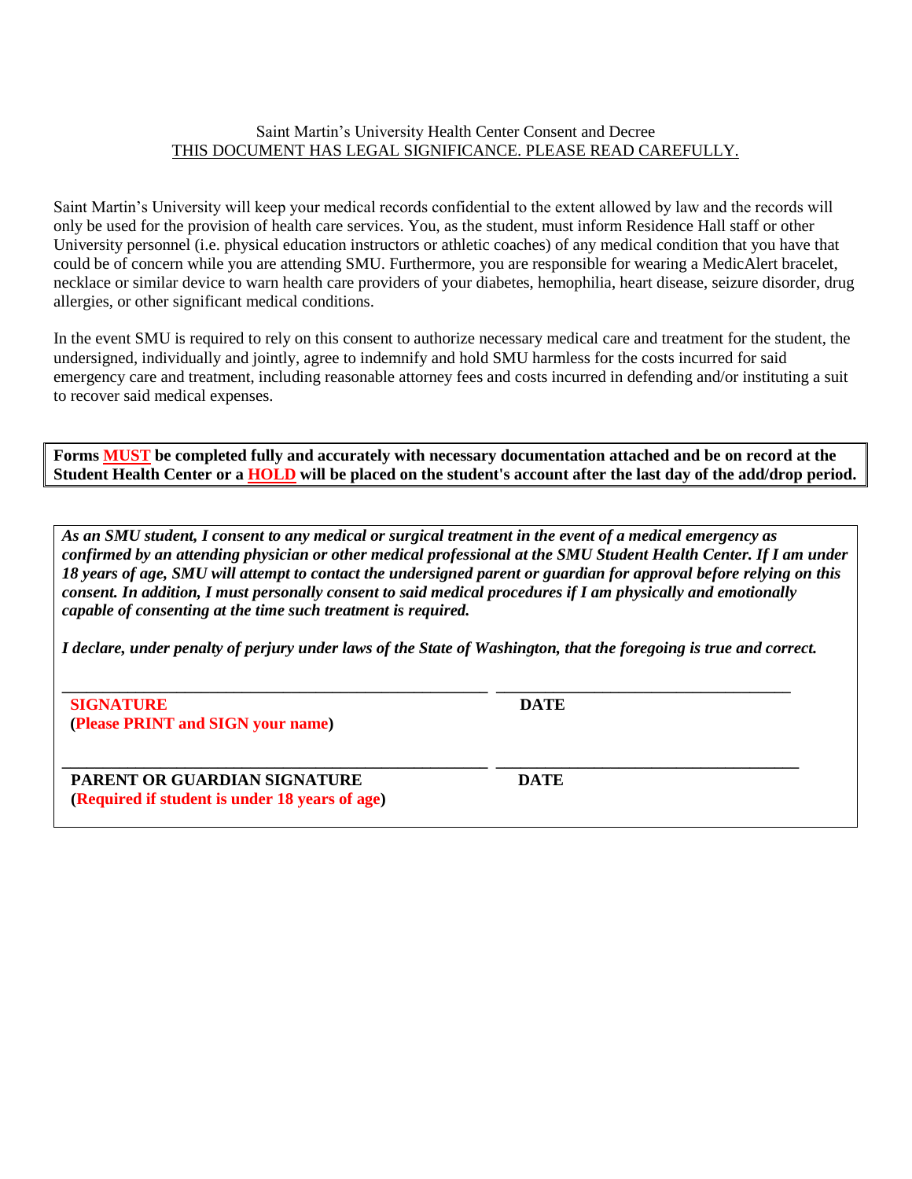#### Saint Martin's University Health Center Consent and Decree THIS DOCUMENT HAS LEGAL SIGNIFICANCE. PLEASE READ CAREFULLY.

Saint Martin's University will keep your medical records confidential to the extent allowed by law and the records will only be used for the provision of health care services. You, as the student, must inform Residence Hall staff or other University personnel (i.e. physical education instructors or athletic coaches) of any medical condition that you have that could be of concern while you are attending SMU. Furthermore, you are responsible for wearing a MedicAlert bracelet, necklace or similar device to warn health care providers of your diabetes, hemophilia, heart disease, seizure disorder, drug allergies, or other significant medical conditions.

In the event SMU is required to rely on this consent to authorize necessary medical care and treatment for the student, the undersigned, individually and jointly, agree to indemnify and hold SMU harmless for the costs incurred for said emergency care and treatment, including reasonable attorney fees and costs incurred in defending and/or instituting a suit to recover said medical expenses.

**Forms MUST be completed fully and accurately with necessary documentation attached and be on record at the Student Health Center or a HOLD will be placed on the student's account after the last day of the add/drop period.**

*As an SMU student, I consent to any medical or surgical treatment in the event of a medical emergency as confirmed by an attending physician or other medical professional at the SMU Student Health Center. If I am under 18 years of age, SMU will attempt to contact the undersigned parent or guardian for approval before relying on this consent. In addition, I must personally consent to said medical procedures if I am physically and emotionally capable of consenting at the time such treatment is required.*

*I declare, under penalty of perjury under laws of the State of Washington, that the foregoing is true and correct.*

**\_\_\_\_\_\_\_\_\_\_\_\_\_\_\_\_\_\_\_\_\_\_\_\_\_\_\_\_\_\_\_\_\_\_\_\_\_\_\_\_\_\_\_\_\_\_\_\_\_\_\_\_ \_\_\_\_\_\_\_\_\_\_\_\_\_\_\_\_\_\_\_\_\_\_\_\_\_\_\_\_\_\_\_\_\_\_\_\_**

**\_\_\_\_\_\_\_\_\_\_\_\_\_\_\_\_\_\_\_\_\_\_\_\_\_\_\_\_\_\_\_\_\_\_\_\_\_\_\_\_\_\_\_\_\_\_\_\_\_\_\_\_ \_\_\_\_\_\_\_\_\_\_\_\_\_\_\_\_\_\_\_\_\_\_\_\_\_\_\_\_\_\_\_\_\_\_\_\_\_**

 **SIGNATURE DATE (Please PRINT and SIGN your name)** 

**PARENT OR GUARDIAN SIGNATURE DATE (Required if student is under 18 years of age)**